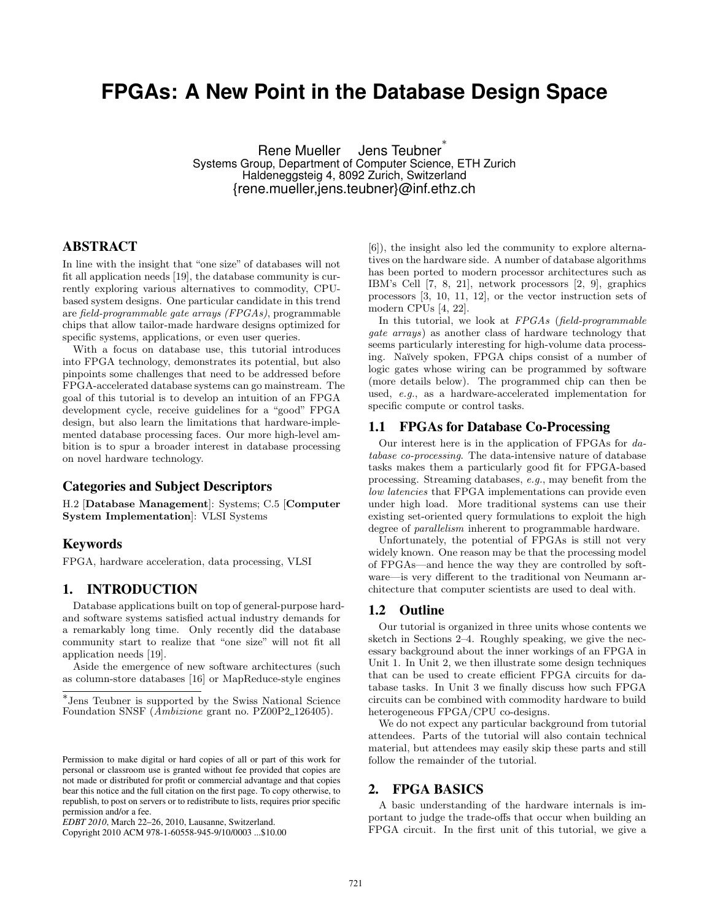# **FPGAs: A New Point in the Database Design Space**

Rene Mueller Jens Teubner ∗ Systems Group, Department of Computer Science, ETH Zurich Haldeneggsteig 4, 8092 Zurich, Switzerland {rene.mueller,jens.teubner}@inf.ethz.ch

# ABSTRACT

In line with the insight that "one size" of databases will not fit all application needs [19], the database community is currently exploring various alternatives to commodity, CPUbased system designs. One particular candidate in this trend are field-programmable gate arrays (FPGAs), programmable chips that allow tailor-made hardware designs optimized for specific systems, applications, or even user queries.

With a focus on database use, this tutorial introduces into FPGA technology, demonstrates its potential, but also pinpoints some challenges that need to be addressed before FPGA-accelerated database systems can go mainstream. The goal of this tutorial is to develop an intuition of an FPGA development cycle, receive guidelines for a "good" FPGA design, but also learn the limitations that hardware-implemented database processing faces. Our more high-level ambition is to spur a broader interest in database processing on novel hardware technology.

#### Categories and Subject Descriptors

H.2 [Database Management]: Systems; C.5 [Computer System Implementation]: VLSI Systems

## Keywords

FPGA, hardware acceleration, data processing, VLSI

## 1. INTRODUCTION

Database applications built on top of general-purpose hardand software systems satisfied actual industry demands for a remarkably long time. Only recently did the database community start to realize that "one size" will not fit all application needs [19].

Aside the emergence of new software architectures (such as column-store databases [16] or MapReduce-style engines

Copyright 2010 ACM 978-1-60558-945-9/10/0003 ...\$10.00

[6]), the insight also led the community to explore alternatives on the hardware side. A number of database algorithms has been ported to modern processor architectures such as IBM's Cell [7, 8, 21], network processors [2, 9], graphics processors [3, 10, 11, 12], or the vector instruction sets of modern CPUs [4, 22].

In this tutorial, we look at FPGAs (field-programmable gate arrays) as another class of hardware technology that seems particularly interesting for high-volume data processing. Na¨ıvely spoken, FPGA chips consist of a number of logic gates whose wiring can be programmed by software (more details below). The programmed chip can then be used, e.g., as a hardware-accelerated implementation for specific compute or control tasks.

#### 1.1 FPGAs for Database Co-Processing

Our interest here is in the application of FPGAs for database co-processing. The data-intensive nature of database tasks makes them a particularly good fit for FPGA-based processing. Streaming databases, e.g., may benefit from the low latencies that FPGA implementations can provide even under high load. More traditional systems can use their existing set-oriented query formulations to exploit the high degree of *parallelism* inherent to programmable hardware.

Unfortunately, the potential of FPGAs is still not very widely known. One reason may be that the processing model of FPGAs—and hence the way they are controlled by software—is very different to the traditional von Neumann architecture that computer scientists are used to deal with.

#### 1.2 Outline

Our tutorial is organized in three units whose contents we sketch in Sections 2–4. Roughly speaking, we give the necessary background about the inner workings of an FPGA in Unit 1. In Unit 2, we then illustrate some design techniques that can be used to create efficient FPGA circuits for database tasks. In Unit 3 we finally discuss how such FPGA circuits can be combined with commodity hardware to build heterogeneous FPGA/CPU co-designs.

We do not expect any particular background from tutorial attendees. Parts of the tutorial will also contain technical material, but attendees may easily skip these parts and still follow the remainder of the tutorial.

## 2. FPGA BASICS

A basic understanding of the hardware internals is important to judge the trade-offs that occur when building an FPGA circuit. In the first unit of this tutorial, we give a

<sup>∗</sup> Jens Teubner is supported by the Swiss National Science Foundation SNSF (*Ambizione* grant no. PZ00P2\_126405).

Permission to make digital or hard copies of all or part of this work for personal or classroom use is granted without fee provided that copies are not made or distributed for profit or commercial advantage and that copies bear this notice and the full citation on the first page. To copy otherwise, to republish, to post on servers or to redistribute to lists, requires prior specific permission and/or a fee.

*EDBT 2010*, March 22–26, 2010, Lausanne, Switzerland.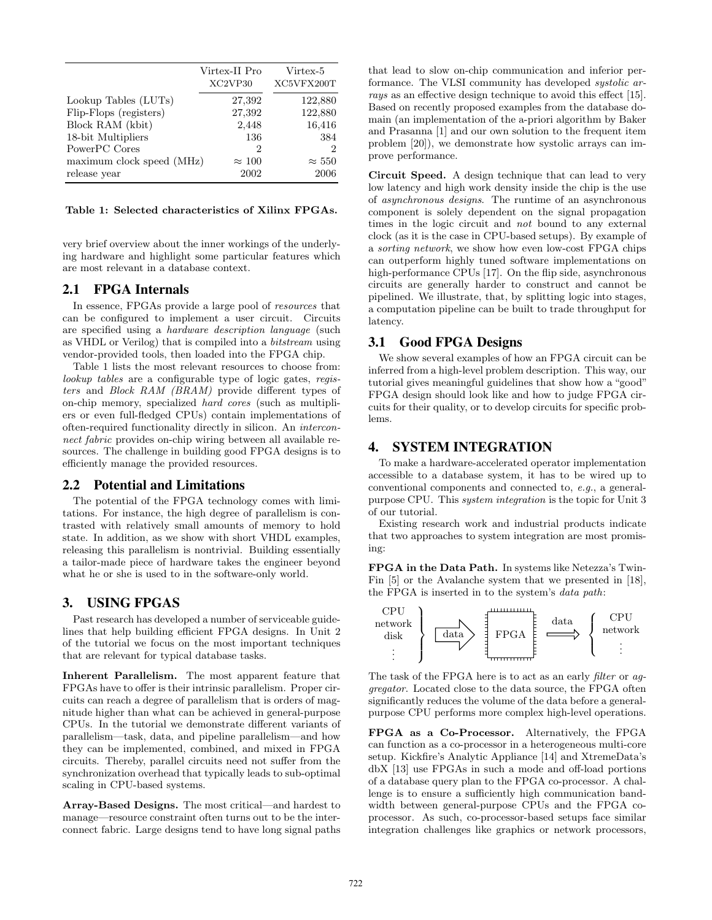|                           | Virtex-II Pro<br>XC2VP30 | Virtex-5<br>XC5VFX200T |
|---------------------------|--------------------------|------------------------|
| Lookup Tables (LUTs)      | 27,392                   | 122,880                |
| Flip-Flops (registers)    | 27,392                   | 122,880                |
| Block RAM (kbit)          | 2,448                    | 16,416                 |
| 18-bit Multipliers        | 136                      | 384                    |
| PowerPC Cores             | 2                        | 2                      |
| maximum clock speed (MHz) | $\approx 100$            | $\approx 550$          |
| release year              | 2002                     | 2006                   |

Table 1: Selected characteristics of Xilinx FPGAs.

very brief overview about the inner workings of the underlying hardware and highlight some particular features which are most relevant in a database context.

### 2.1 FPGA Internals

In essence, FPGAs provide a large pool of resources that can be configured to implement a user circuit. Circuits are specified using a hardware description language (such as VHDL or Verilog) that is compiled into a bitstream using vendor-provided tools, then loaded into the FPGA chip.

Table 1 lists the most relevant resources to choose from: lookup tables are a configurable type of logic gates, registers and Block RAM (BRAM) provide different types of on-chip memory, specialized hard cores (such as multipliers or even full-fledged CPUs) contain implementations of often-required functionality directly in silicon. An interconnect fabric provides on-chip wiring between all available resources. The challenge in building good FPGA designs is to efficiently manage the provided resources.

# 2.2 Potential and Limitations

The potential of the FPGA technology comes with limitations. For instance, the high degree of parallelism is contrasted with relatively small amounts of memory to hold state. In addition, as we show with short VHDL examples, releasing this parallelism is nontrivial. Building essentially a tailor-made piece of hardware takes the engineer beyond what he or she is used to in the software-only world.

# 3. USING FPGAS

Past research has developed a number of serviceable guidelines that help building efficient FPGA designs. In Unit 2 of the tutorial we focus on the most important techniques that are relevant for typical database tasks.

Inherent Parallelism. The most apparent feature that FPGAs have to offer is their intrinsic parallelism. Proper circuits can reach a degree of parallelism that is orders of magnitude higher than what can be achieved in general-purpose CPUs. In the tutorial we demonstrate different variants of parallelism—task, data, and pipeline parallelism—and how they can be implemented, combined, and mixed in FPGA circuits. Thereby, parallel circuits need not suffer from the synchronization overhead that typically leads to sub-optimal scaling in CPU-based systems.

Array-Based Designs. The most critical—and hardest to manage—resource constraint often turns out to be the interconnect fabric. Large designs tend to have long signal paths that lead to slow on-chip communication and inferior performance. The VLSI community has developed systolic arrays as an effective design technique to avoid this effect [15]. Based on recently proposed examples from the database domain (an implementation of the a-priori algorithm by Baker and Prasanna [1] and our own solution to the frequent item problem [20]), we demonstrate how systolic arrays can improve performance.

Circuit Speed. A design technique that can lead to very low latency and high work density inside the chip is the use of asynchronous designs. The runtime of an asynchronous component is solely dependent on the signal propagation times in the logic circuit and not bound to any external clock (as it is the case in CPU-based setups). By example of a sorting network, we show how even low-cost FPGA chips can outperform highly tuned software implementations on high-performance CPUs [17]. On the flip side, asynchronous circuits are generally harder to construct and cannot be pipelined. We illustrate, that, by splitting logic into stages, a computation pipeline can be built to trade throughput for latency.

#### 3.1 Good FPGA Designs

We show several examples of how an FPGA circuit can be inferred from a high-level problem description. This way, our tutorial gives meaningful guidelines that show how a "good" FPGA design should look like and how to judge FPGA circuits for their quality, or to develop circuits for specific problems.

# 4. SYSTEM INTEGRATION

To make a hardware-accelerated operator implementation accessible to a database system, it has to be wired up to conventional components and connected to, e.g., a generalpurpose CPU. This system integration is the topic for Unit 3 of our tutorial.

Existing research work and industrial products indicate that two approaches to system integration are most promising:

FPGA in the Data Path. In systems like Netezza's Twin-Fin [5] or the Avalanche system that we presented in [18], the FPGA is inserted in to the system's data path:



The task of the FPGA here is to act as an early filter or aggregator. Located close to the data source, the FPGA often significantly reduces the volume of the data before a generalpurpose CPU performs more complex high-level operations.

FPGA as a Co-Processor. Alternatively, the FPGA can function as a co-processor in a heterogeneous multi-core setup. Kickfire's Analytic Appliance [14] and XtremeData's dbX [13] use FPGAs in such a mode and off-load portions of a database query plan to the FPGA co-processor. A challenge is to ensure a sufficiently high communication bandwidth between general-purpose CPUs and the FPGA coprocessor. As such, co-processor-based setups face similar integration challenges like graphics or network processors,